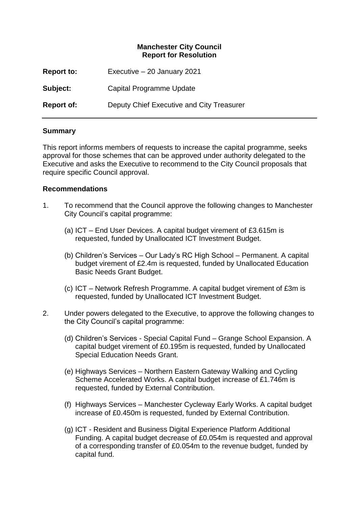#### **Manchester City Council Report for Resolution**

| <b>Report to:</b> | Executive - 20 January 2021               |
|-------------------|-------------------------------------------|
| Subject:          | Capital Programme Update                  |
| <b>Report of:</b> | Deputy Chief Executive and City Treasurer |

#### **Summary**

This report informs members of requests to increase the capital programme, seeks approval for those schemes that can be approved under authority delegated to the Executive and asks the Executive to recommend to the City Council proposals that require specific Council approval.

#### **Recommendations**

- 1. To recommend that the Council approve the following changes to Manchester City Council's capital programme:
	- (a) ICT End User Devices. A capital budget virement of £3.615m is requested, funded by Unallocated ICT Investment Budget.
	- (b) Children's Services Our Lady's RC High School Permanent. A capital budget virement of £2.4m is requested, funded by Unallocated Education Basic Needs Grant Budget.
	- (c) ICT Network Refresh Programme. A capital budget virement of £3m is requested, funded by Unallocated ICT Investment Budget.
- 2. Under powers delegated to the Executive, to approve the following changes to the City Council's capital programme:
	- (d) Children's Services Special Capital Fund Grange School Expansion. A capital budget virement of £0.195m is requested, funded by Unallocated Special Education Needs Grant.
	- (e) Highways Services Northern Eastern Gateway Walking and Cycling Scheme Accelerated Works. A capital budget increase of £1.746m is requested, funded by External Contribution.
	- (f) Highways Services Manchester Cycleway Early Works. A capital budget increase of £0.450m is requested, funded by External Contribution.
	- (g) ICT Resident and Business Digital Experience Platform Additional Funding. A capital budget decrease of £0.054m is requested and approval of a corresponding transfer of £0.054m to the revenue budget, funded by capital fund.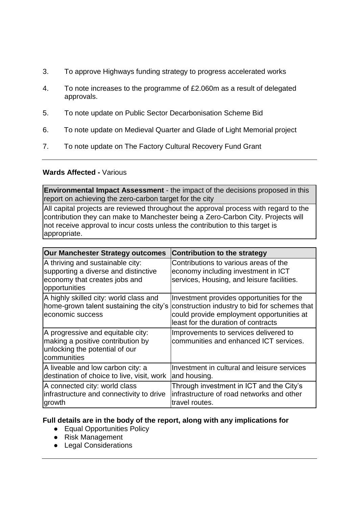- 3. To approve Highways funding strategy to progress accelerated works
- 4. To note increases to the programme of £2.060m as a result of delegated approvals.
- 5. To note update on Public Sector Decarbonisation Scheme Bid
- 6. To note update on Medieval Quarter and Glade of Light Memorial project
- 7. To note update on The Factory Cultural Recovery Fund Grant

#### **Wards Affected -** Various

**Environmental Impact Assessment** - the impact of the decisions proposed in this report on achieving the zero-carbon target for the city

All capital projects are reviewed throughout the approval process with regard to the contribution they can make to Manchester being a Zero-Carbon City. Projects will not receive approval to incur costs unless the contribution to this target is appropriate.

| Our Manchester Strategy outcomes                                                                                           | <b>Contribution to the strategy</b>                                                                                                                                            |
|----------------------------------------------------------------------------------------------------------------------------|--------------------------------------------------------------------------------------------------------------------------------------------------------------------------------|
| A thriving and sustainable city:<br>supporting a diverse and distinctive<br>economy that creates jobs and<br>opportunities | Contributions to various areas of the<br>economy including investment in ICT<br>services, Housing, and leisure facilities.                                                     |
| A highly skilled city: world class and<br>home-grown talent sustaining the city's<br>economic success                      | Investment provides opportunities for the<br>construction industry to bid for schemes that<br>could provide employment opportunities at<br>least for the duration of contracts |
| A progressive and equitable city:<br>making a positive contribution by<br>unlocking the potential of our<br>communities    | Improvements to services delivered to<br>communities and enhanced ICT services.                                                                                                |
| A liveable and low carbon city: a<br>destination of choice to live, visit, work                                            | Investment in cultural and leisure services<br>and housing.                                                                                                                    |
| A connected city: world class<br>infrastructure and connectivity to drive<br>growth                                        | Through investment in ICT and the City's<br>infrastructure of road networks and other<br>travel routes.                                                                        |

#### **Full details are in the body of the report, along with any implications for**

- Equal Opportunities Policy
- Risk Management
- Legal Considerations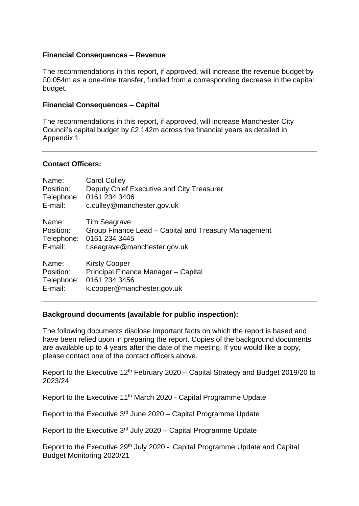#### **Financial Consequences – Revenue**

The recommendations in this report, if approved, will increase the revenue budget by £0.054m as a one-time transfer, funded from a corresponding decrease in the capital budget.

#### **Financial Consequences – Capital**

The recommendations in this report, if approved, will increase Manchester City Council's capital budget by £2.142m across the financial years as detailed in Appendix 1.

#### **Contact Officers:**

| Name:      | <b>Carol Culley</b>                                  |
|------------|------------------------------------------------------|
| Position:  | Deputy Chief Executive and City Treasurer            |
| Telephone: | 0161 234 3406                                        |
| E-mail:    | c.culley@manchester.gov.uk                           |
| Name:      | <b>Tim Seagrave</b>                                  |
| Position:  | Group Finance Lead – Capital and Treasury Management |
| Telephone: | 0161 234 3445                                        |
| E-mail:    | t.seagrave@manchester.gov.uk                         |
| Name:      | <b>Kirsty Cooper</b>                                 |
| Position:  | Principal Finance Manager - Capital                  |
| Telephone: | 0161 234 3456                                        |
| E-mail:    | k.cooper@manchester.gov.uk                           |

#### **Background documents (available for public inspection):**

The following documents disclose important facts on which the report is based and have been relied upon in preparing the report. Copies of the background documents are available up to 4 years after the date of the meeting. If you would like a copy, please contact one of the contact officers above.

Report to the Executive 12<sup>th</sup> February 2020 – Capital Strategy and Budget 2019/20 to 2023/24

Report to the Executive 11th March 2020 - Capital Programme Update

Report to the Executive 3rd June 2020 – Capital Programme Update

Report to the Executive  $3<sup>rd</sup>$  July 2020 – Capital Programme Update

Report to the Executive 29<sup>th</sup> July 2020 - Capital Programme Update and Capital Budget Monitoring 2020/21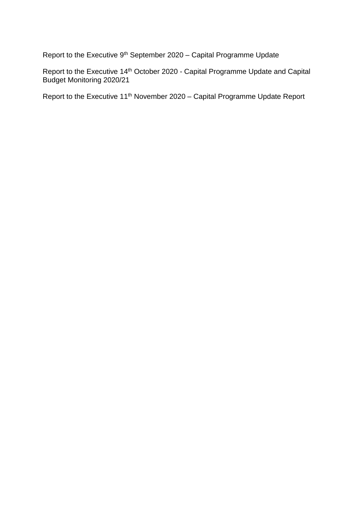Report to the Executive 9th September 2020 – Capital Programme Update

Report to the Executive 14<sup>th</sup> October 2020 - Capital Programme Update and Capital Budget Monitoring 2020/21

Report to the Executive 11<sup>th</sup> November 2020 – Capital Programme Update Report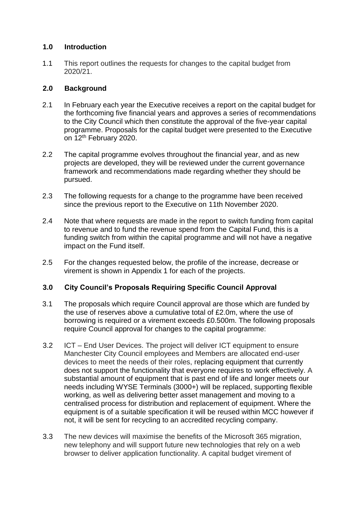#### **1.0 Introduction**

1.1 This report outlines the requests for changes to the capital budget from 2020/21.

#### **2.0 Background**

- 2.1 In February each year the Executive receives a report on the capital budget for the forthcoming five financial years and approves a series of recommendations to the City Council which then constitute the approval of the five-year capital programme. Proposals for the capital budget were presented to the Executive on 12<sup>th</sup> February 2020.
- 2.2 The capital programme evolves throughout the financial year, and as new projects are developed, they will be reviewed under the current governance framework and recommendations made regarding whether they should be pursued.
- 2.3 The following requests for a change to the programme have been received since the previous report to the Executive on 11th November 2020.
- 2.4 Note that where requests are made in the report to switch funding from capital to revenue and to fund the revenue spend from the Capital Fund, this is a funding switch from within the capital programme and will not have a negative impact on the Fund itself.
- 2.5 For the changes requested below, the profile of the increase, decrease or virement is shown in Appendix 1 for each of the projects.

# **3.0 City Council's Proposals Requiring Specific Council Approval**

- 3.1 The proposals which require Council approval are those which are funded by the use of reserves above a cumulative total of £2.0m, where the use of borrowing is required or a virement exceeds £0.500m. The following proposals require Council approval for changes to the capital programme:
- 3.2 ICT End User Devices. The project will deliver ICT equipment to ensure Manchester City Council employees and Members are allocated end-user devices to meet the needs of their roles, replacing equipment that currently does not support the functionality that everyone requires to work effectively. A substantial amount of equipment that is past end of life and longer meets our needs including WYSE Terminals (3000+) will be replaced, supporting flexible working, as well as delivering better asset management and moving to a centralised process for distribution and replacement of equipment. Where the equipment is of a suitable specification it will be reused within MCC however if not, it will be sent for recycling to an accredited recycling company.
- 3.3 The new devices will maximise the benefits of the Microsoft 365 migration, new telephony and will support future new technologies that rely on a web browser to deliver application functionality. A capital budget virement of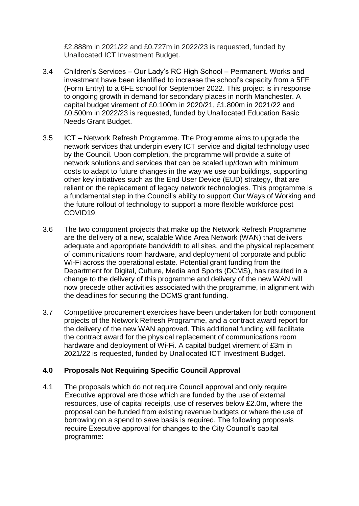£2.888m in 2021/22 and £0.727m in 2022/23 is requested, funded by Unallocated ICT Investment Budget.

- 3.4 Children's Services Our Lady's RC High School Permanent. Works and investment have been identified to increase the school's capacity from a 5FE (Form Entry) to a 6FE school for September 2022. This project is in response to ongoing growth in demand for secondary places in north Manchester. A capital budget virement of £0.100m in 2020/21, £1.800m in 2021/22 and £0.500m in 2022/23 is requested, funded by Unallocated Education Basic Needs Grant Budget.
- 3.5 ICT Network Refresh Programme. The Programme aims to upgrade the network services that underpin every ICT service and digital technology used by the Council. Upon completion, the programme will provide a suite of network solutions and services that can be scaled up/down with minimum costs to adapt to future changes in the way we use our buildings, supporting other key initiatives such as the End User Device (EUD) strategy, that are reliant on the replacement of legacy network technologies. This programme is a fundamental step in the Council's ability to support Our Ways of Working and the future rollout of technology to support a more flexible workforce post COVID19.
- 3.6 The two component projects that make up the Network Refresh Programme are the delivery of a new, scalable Wide Area Network (WAN) that delivers adequate and appropriate bandwidth to all sites, and the physical replacement of communications room hardware, and deployment of corporate and public Wi-Fi across the operational estate. Potential grant funding from the Department for Digital, Culture, Media and Sports (DCMS), has resulted in a change to the delivery of this programme and delivery of the new WAN will now precede other activities associated with the programme, in alignment with the deadlines for securing the DCMS grant funding.
- 3.7 Competitive procurement exercises have been undertaken for both component projects of the Network Refresh Programme, and a contract award report for the delivery of the new WAN approved. This additional funding will facilitate the contract award for the physical replacement of communications room hardware and deployment of Wi-Fi. A capital budget virement of £3m in 2021/22 is requested, funded by Unallocated ICT Investment Budget.

# **4.0 Proposals Not Requiring Specific Council Approval**

4.1 The proposals which do not require Council approval and only require Executive approval are those which are funded by the use of external resources, use of capital receipts, use of reserves below £2.0m, where the proposal can be funded from existing revenue budgets or where the use of borrowing on a spend to save basis is required. The following proposals require Executive approval for changes to the City Council's capital programme: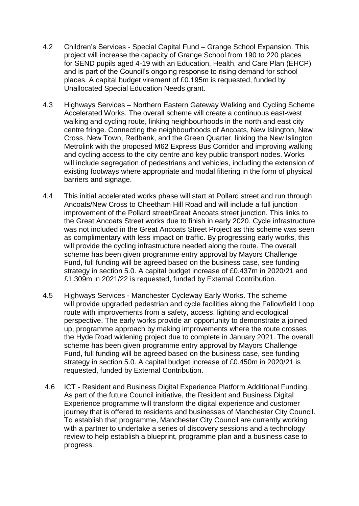- 4.2 Children's Services Special Capital Fund Grange School Expansion. This project will increase the capacity of Grange School from 190 to 220 places for SEND pupils aged 4-19 with an Education, Health, and Care Plan (EHCP) and is part of the Council's ongoing response to rising demand for school places. A capital budget virement of £0.195m is requested, funded by Unallocated Special Education Needs grant.
- 4.3 Highways Services Northern Eastern Gateway Walking and Cycling Scheme Accelerated Works. The overall scheme will create a continuous east-west walking and cycling route, linking neighbourhoods in the north and east city centre fringe. Connecting the neighbourhoods of Ancoats, New Islington, New Cross, New Town, Redbank, and the Green Quarter, linking the New Islington Metrolink with the proposed M62 Express Bus Corridor and improving walking and cycling access to the city centre and key public transport nodes. Works will include segregation of pedestrians and vehicles, including the extension of existing footways where appropriate and modal filtering in the form of physical barriers and signage.
- 4.4 This initial accelerated works phase will start at Pollard street and run through Ancoats/New Cross to Cheetham Hill Road and will include a full junction improvement of the Pollard street/Great Ancoats street junction. This links to the Great Ancoats Street works due to finish in early 2020. Cycle infrastructure was not included in the Great Ancoats Street Project as this scheme was seen as complimentary with less impact on traffic. By progressing early works, this will provide the cycling infrastructure needed along the route. The overall scheme has been given programme entry approval by Mayors Challenge Fund, full funding will be agreed based on the business case, see funding strategy in section 5.0. A capital budget increase of £0.437m in 2020/21 and £1.309m in 2021/22 is requested, funded by External Contribution.
- 4.5 Highways Services Manchester Cycleway Early Works. The scheme will provide upgraded pedestrian and cycle facilities along the Fallowfield Loop route with improvements from a safety, access, lighting and ecological perspective. The early works provide an opportunity to demonstrate a joined up, programme approach by making improvements where the route crosses the Hyde Road widening project due to complete in January 2021. The overall scheme has been given programme entry approval by Mayors Challenge Fund, full funding will be agreed based on the business case, see funding strategy in section 5.0. A capital budget increase of £0.450m in 2020/21 is requested, funded by External Contribution.
- 4.6 ICT Resident and Business Digital Experience Platform Additional Funding. As part of the future Council initiative, the Resident and Business Digital Experience programme will transform the digital experience and customer journey that is offered to residents and businesses of Manchester City Council. To establish that programme, Manchester City Council are currently working with a partner to undertake a series of discovery sessions and a technology review to help establish a blueprint, programme plan and a business case to progress.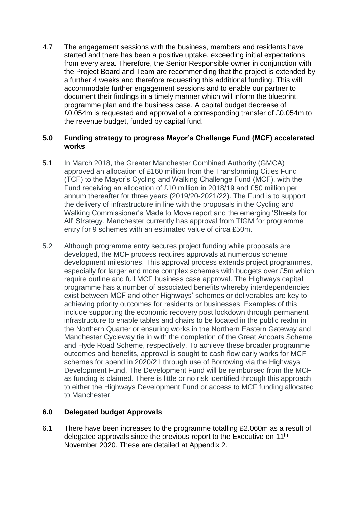4.7 The engagement sessions with the business, members and residents have started and there has been a positive uptake, exceeding initial expectations from every area. Therefore, the Senior Responsible owner in conjunction with the Project Board and Team are recommending that the project is extended by a further 4 weeks and therefore requesting this additional funding. This will accommodate further engagement sessions and to enable our partner to document their findings in a timely manner which will inform the blueprint, programme plan and the business case. A capital budget decrease of £0.054m is requested and approval of a corresponding transfer of £0.054m to the revenue budget, funded by capital fund.

#### **5.0 Funding strategy to progress Mayor's Challenge Fund (MCF) accelerated works**

- 5.1 In March 2018, the Greater Manchester Combined Authority (GMCA) approved an allocation of £160 million from the Transforming Cities Fund (TCF) to the Mayor's Cycling and Walking Challenge Fund (MCF), with the Fund receiving an allocation of £10 million in 2018/19 and £50 million per annum thereafter for three years (2019/20-2021/22). The Fund is to support the delivery of infrastructure in line with the proposals in the Cycling and Walking Commissioner's Made to Move report and the emerging 'Streets for All' Strategy. Manchester currently has approval from TfGM for programme entry for 9 schemes with an estimated value of circa £50m.
- 5.2 Although programme entry secures project funding while proposals are developed, the MCF process requires approvals at numerous scheme development milestones. This approval process extends project programmes, especially for larger and more complex schemes with budgets over £5m which require outline and full MCF business case approval. The Highways capital programme has a number of associated benefits whereby interdependencies exist between MCF and other Highways' schemes or deliverables are key to achieving priority outcomes for residents or businesses. Examples of this include supporting the economic recovery post lockdown through permanent infrastructure to enable tables and chairs to be located in the public realm in the Northern Quarter or ensuring works in the Northern Eastern Gateway and Manchester Cycleway tie in with the completion of the Great Ancoats Scheme and Hyde Road Scheme, respectively. To achieve these broader programme outcomes and benefits, approval is sought to cash flow early works for MCF schemes for spend in 2020/21 through use of Borrowing via the Highways Development Fund. The Development Fund will be reimbursed from the MCF as funding is claimed. There is little or no risk identified through this approach to either the Highways Development Fund or access to MCF funding allocated to Manchester.

#### **6.0 Delegated budget Approvals**

6.1 There have been increases to the programme totalling £2.060m as a result of delegated approvals since the previous report to the Executive on 11<sup>th</sup> November 2020. These are detailed at Appendix 2.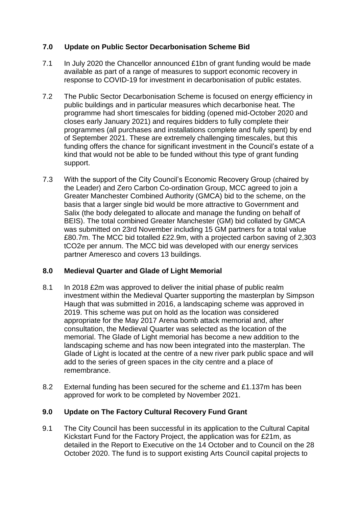# **7.0 Update on Public Sector Decarbonisation Scheme Bid**

- 7.1 In July 2020 the Chancellor announced £1bn of grant funding would be made available as part of a range of measures to support economic recovery in response to COVID-19 for investment in decarbonisation of public estates.
- 7.2 The Public Sector Decarbonisation Scheme is focused on energy efficiency in public buildings and in particular measures which decarbonise heat. The programme had short timescales for bidding (opened mid-October 2020 and closes early January 2021) and requires bidders to fully complete their programmes (all purchases and installations complete and fully spent) by end of September 2021. These are extremely challenging timescales, but this funding offers the chance for significant investment in the Council's estate of a kind that would not be able to be funded without this type of grant funding support.
- 7.3 With the support of the City Council's Economic Recovery Group (chaired by the Leader) and Zero Carbon Co-ordination Group, MCC agreed to join a Greater Manchester Combined Authority (GMCA) bid to the scheme, on the basis that a larger single bid would be more attractive to Government and Salix (the body delegated to allocate and manage the funding on behalf of BEIS). The total combined Greater Manchester (GM) bid collated by GMCA was submitted on 23rd November including 15 GM partners for a total value £80.7m. The MCC bid totalled £22.9m, with a projected carbon saving of 2,303 tCO2e per annum. The MCC bid was developed with our energy services partner Ameresco and covers 13 buildings.

# **8.0 Medieval Quarter and Glade of Light Memorial**

- 8.1 In 2018 £2m was approved to deliver the initial phase of public realm investment within the Medieval Quarter supporting the masterplan by Simpson Haugh that was submitted in 2016, a landscaping scheme was approved in 2019. This scheme was put on hold as the location was considered appropriate for the May 2017 Arena bomb attack memorial and, after consultation, the Medieval Quarter was selected as the location of the memorial. The Glade of Light memorial has become a new addition to the landscaping scheme and has now been integrated into the masterplan. The Glade of Light is located at the centre of a new river park public space and will add to the series of green spaces in the city centre and a place of remembrance.
- 8.2 External funding has been secured for the scheme and £1.137m has been approved for work to be completed by November 2021.

# **9.0 Update on The Factory Cultural Recovery Fund Grant**

9.1 The City Council has been successful in its application to the Cultural Capital Kickstart Fund for the Factory Project, the application was for £21m, as detailed in the Report to Executive on the 14 October and to Council on the 28 October 2020. The fund is to support existing Arts Council capital projects to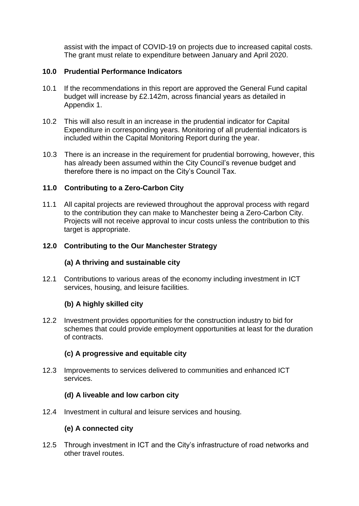assist with the impact of COVID-19 on projects due to increased capital costs. The grant must relate to expenditure between January and April 2020.

# **10.0 Prudential Performance Indicators**

- 10.1 If the recommendations in this report are approved the General Fund capital budget will increase by £2.142m, across financial years as detailed in Appendix 1.
- 10.2 This will also result in an increase in the prudential indicator for Capital Expenditure in corresponding years. Monitoring of all prudential indicators is included within the Capital Monitoring Report during the year.
- 10.3 There is an increase in the requirement for prudential borrowing, however, this has already been assumed within the City Council's revenue budget and therefore there is no impact on the City's Council Tax.

# **11.0 Contributing to a Zero-Carbon City**

11.1 All capital projects are reviewed throughout the approval process with regard to the contribution they can make to Manchester being a Zero-Carbon City. Projects will not receive approval to incur costs unless the contribution to this target is appropriate.

# **12.0 Contributing to the Our Manchester Strategy**

# **(a) A thriving and sustainable city**

12.1 Contributions to various areas of the economy including investment in ICT services, housing, and leisure facilities.

# **(b) A highly skilled city**

12.2 Investment provides opportunities for the construction industry to bid for schemes that could provide employment opportunities at least for the duration of contracts.

# **(c) A progressive and equitable city**

12.3 Improvements to services delivered to communities and enhanced ICT services.

# **(d) A liveable and low carbon city**

12.4 Investment in cultural and leisure services and housing.

# **(e) A connected city**

12.5 Through investment in ICT and the City's infrastructure of road networks and other travel routes.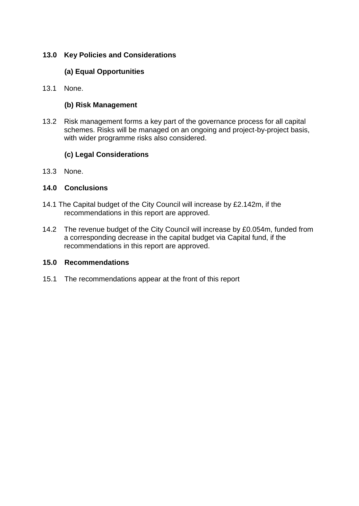# **13.0 Key Policies and Considerations**

# **(a) Equal Opportunities**

13.1 None.

#### **(b) Risk Management**

13.2 Risk management forms a key part of the governance process for all capital schemes. Risks will be managed on an ongoing and project-by-project basis, with wider programme risks also considered.

#### **(c) Legal Considerations**

13.3 None.

#### **14.0 Conclusions**

- 14.1 The Capital budget of the City Council will increase by £2.142m, if the recommendations in this report are approved.
- 14.2 The revenue budget of the City Council will increase by £0.054m, funded from a corresponding decrease in the capital budget via Capital fund, if the recommendations in this report are approved.

#### **15.0 Recommendations**

15.1 The recommendations appear at the front of this report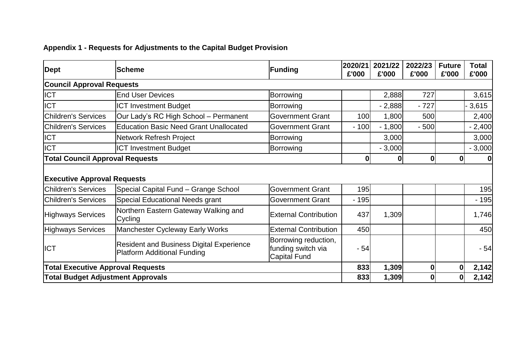# **Appendix 1 - Requests for Adjustments to the Capital Budget Provision**

| <b>Dept</b>                                               | lScheme                                                                        | Funding                                                           | 2020/21<br>£'000 | 2021/22<br>£'000 | 2022/23<br>£'000 | <b>Future</b><br>£'000 | <b>Total</b><br>£'000 |
|-----------------------------------------------------------|--------------------------------------------------------------------------------|-------------------------------------------------------------------|------------------|------------------|------------------|------------------------|-----------------------|
| <b>Council Approval Requests</b>                          |                                                                                |                                                                   |                  |                  |                  |                        |                       |
| <b>ICT</b>                                                | <b>End User Devices</b>                                                        | Borrowing                                                         |                  | 2,888            | 727              |                        | 3,615                 |
| <b>ICT</b>                                                | <b>ICT Investment Budget</b>                                                   | Borrowing                                                         |                  | $-2,888$         | $-727$           |                        | 3,615                 |
| <b>Children's Services</b>                                | Our Lady's RC High School - Permanent                                          | <b>Government Grant</b>                                           | 100              | 1,800            | 500              |                        | 2,400                 |
| <b>Children's Services</b>                                | <b>Education Basic Need Grant Unallocated</b>                                  | <b>Government Grant</b>                                           | $-100$           | $-1,800$         | $-500$           |                        | $-2,400$              |
| <b>ICT</b>                                                | Network Refresh Project                                                        | Borrowing                                                         |                  | 3,000            |                  |                        | 3,000                 |
| <b>ICT</b>                                                | <b>ICT Investment Budget</b>                                                   | Borrowing                                                         |                  | $-3,000$         |                  |                        | $-3,000$              |
| <b>Total Council Approval Requests</b>                    |                                                                                |                                                                   | $\mathbf{0}$     | 0                | $\bf{0}$         | $\mathbf{0}$           | 0                     |
| <b>Executive Approval Requests</b><br>Children's Services | Special Capital Fund - Grange School                                           | <b>Government Grant</b>                                           | 195              |                  |                  |                        | 195                   |
| <b>Children's Services</b>                                | Special Educational Needs grant                                                | <b>Government Grant</b>                                           | $-195$           |                  |                  |                        | $-195$                |
| Highways Services                                         | Northern Eastern Gateway Walking and<br>Cycling                                | <b>External Contribution</b>                                      | 437              | 1,309            |                  |                        | 1,746                 |
| <b>Highways Services</b>                                  | <b>Manchester Cycleway Early Works</b>                                         | <b>External Contribution</b>                                      | 450              |                  |                  |                        | 450                   |
| <b>ICT</b>                                                | <b>Resident and Business Digital Experience</b><br>Platform Additional Funding | Borrowing reduction,<br>funding switch via<br><b>Capital Fund</b> | $-54$            |                  |                  |                        | $-54$                 |
| <b>Total Executive Approval Requests</b>                  |                                                                                | 833                                                               | 1,309            | 0                | 0l               | 2,142                  |                       |
| <b>Total Budget Adjustment Approvals</b>                  |                                                                                | 833                                                               | 1,309            | 0                | 01               | 2,142                  |                       |